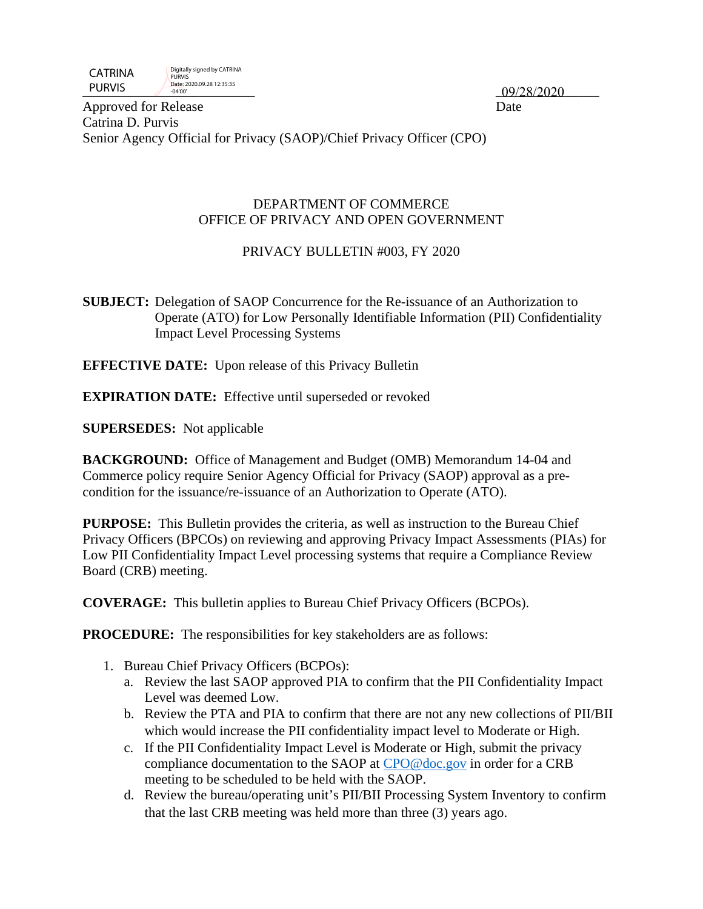| <b>CATRINA</b> | Digitally signed by CATRINA<br><b>PURVIS</b> |            |
|----------------|----------------------------------------------|------------|
| <b>PURVIS</b>  | Date: 2020.09.28 12:35:35<br>$-04'00'$       | 09/28/2020 |

Approved for Release Date Catrina D. Purvis Senior Agency Official for Privacy (SAOP)/Chief Privacy Officer (CPO)

#### DEPARTMENT OF COMMERCE OFFICE OF PRIVACY AND OPEN GOVERNMENT

## PRIVACY BULLETIN #003, FY 2020

**SUBJECT:** Delegation of SAOP Concurrence for the Re-issuance of an Authorization to Operate (ATO) for Low Personally Identifiable Information (PII) Confidentiality Impact Level Processing Systems

**EFFECTIVE DATE:** Upon release of this Privacy Bulletin

**EXPIRATION DATE:** Effective until superseded or revoked

**SUPERSEDES:** Not applicable

**BACKGROUND:** Office of Management and Budget (OMB) Memorandum 14-04 and Commerce policy require Senior Agency Official for Privacy (SAOP) approval as a precondition for the issuance/re-issuance of an Authorization to Operate (ATO).

**PURPOSE:** This Bulletin provides the criteria, as well as instruction to the Bureau Chief Privacy Officers (BPCOs) on reviewing and approving Privacy Impact Assessments (PIAs) for Low PII Confidentiality Impact Level processing systems that require a Compliance Review Board (CRB) meeting.

**COVERAGE:** This bulletin applies to Bureau Chief Privacy Officers (BCPOs).

**PROCEDURE:** The responsibilities for key stakeholders are as follows:

- 1. Bureau Chief Privacy Officers (BCPOs):
	- a. Review the last SAOP approved PIA to confirm that the PII Confidentiality Impact Level was deemed Low.
	- b. Review the PTA and PIA to confirm that there are not any new collections of PII/BII which would increase the PII confidentiality impact level to Moderate or High.
	- c. If the PII Confidentiality Impact Level is Moderate or High, submit the privacy compliance documentation to the SAOP at [CPO@doc.gov](mailto:CPO@doc.gov) in order for a CRB meeting to be scheduled to be held with the SAOP.
	- d. Review the bureau/operating unit's PII/BII Processing System Inventory to confirm that the last CRB meeting was held more than three (3) years ago.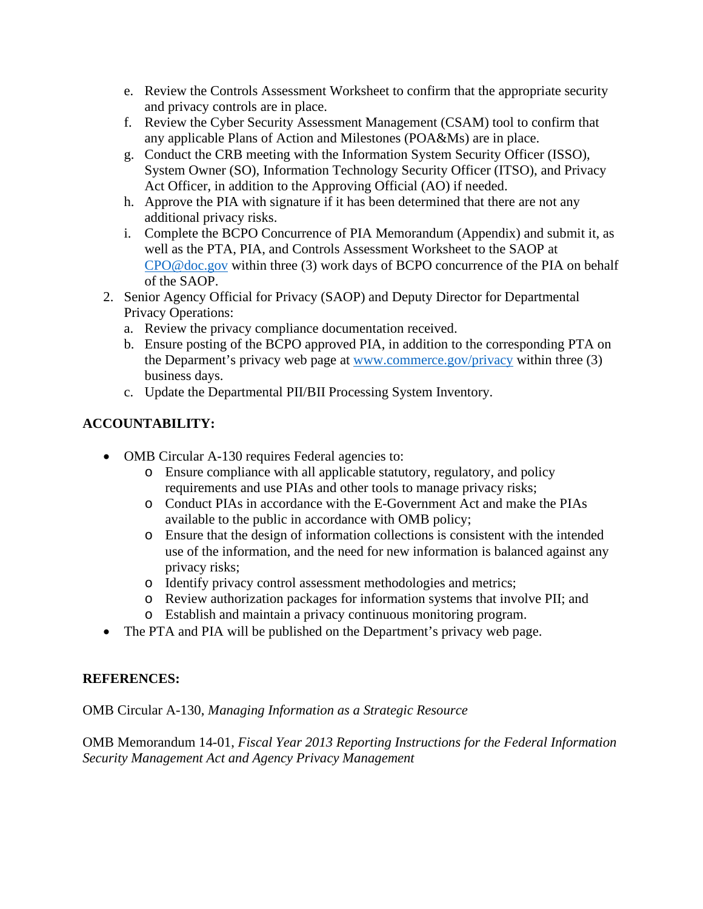- e. Review the Controls Assessment Worksheet to confirm that the appropriate security and privacy controls are in place.
- f. Review the Cyber Security Assessment Management (CSAM) tool to confirm that any applicable Plans of Action and Milestones (POA&Ms) are in place.
- g. Conduct the CRB meeting with the Information System Security Officer (ISSO), System Owner (SO), Information Technology Security Officer (ITSO), and Privacy Act Officer, in addition to the Approving Official (AO) if needed.
- h. Approve the PIA with signature if it has been determined that there are not any additional privacy risks.
- i. Complete the BCPO Concurrence of PIA Memorandum (Appendix) and submit it, as well as the PTA, PIA, and Controls Assessment Worksheet to the SAOP at [CPO@doc.gov](mailto:CPO@doc.gov) within three (3) work days of BCPO concurrence of the PIA on behalf of the SAOP.
- 2. Senior Agency Official for Privacy (SAOP) and Deputy Director for Departmental Privacy Operations:
	- a. Review the privacy compliance documentation received.
	- b. Ensure posting of the BCPO approved PIA, in addition to the corresponding PTA on the Deparment's privacy web page at [www.commerce.gov/privacy](http://www.commerce.gov/privacy) within three (3) business days.
	- c. Update the Departmental PII/BII Processing System Inventory.

# **ACCOUNTABILITY:**

- OMB Circular A-130 requires Federal agencies to:
	- o Ensure compliance with all applicable statutory, regulatory, and policy requirements and use PIAs and other tools to manage privacy risks;
	- o Conduct PIAs in accordance with the E-Government Act and make the PIAs available to the public in accordance with OMB policy;
	- o Ensure that the design of information collections is consistent with the intended use of the information, and the need for new information is balanced against any privacy risks;
	- o Identify privacy control assessment methodologies and metrics;
	- o Review authorization packages for information systems that involve PII; and
	- o Establish and maintain a privacy continuous monitoring program.
- The PTA and PIA will be published on the Department's privacy web page.

### **REFERENCES:**

OMB Circular A-130, *Managing Information as a Strategic Resource*

OMB Memorandum 14-01, *Fiscal Year 2013 Reporting Instructions for the Federal Information Security Management Act and Agency Privacy Management*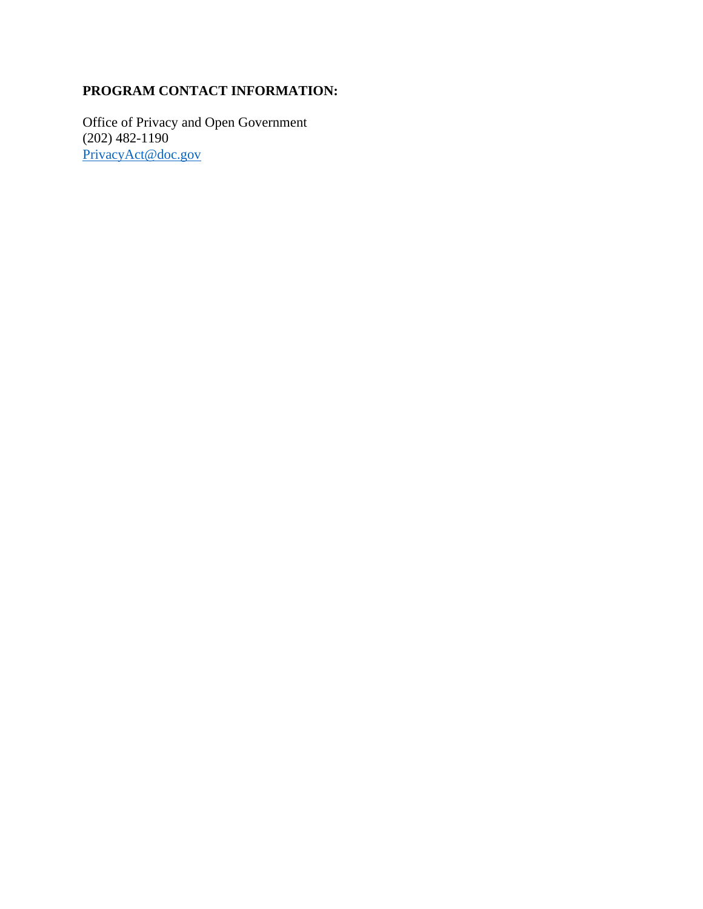# **PROGRAM CONTACT INFORMATION:**

Office of Privacy and Open Government (202) 482-1190 [PrivacyAct@doc.gov](mailto:PrivacyAct@doc.gov)